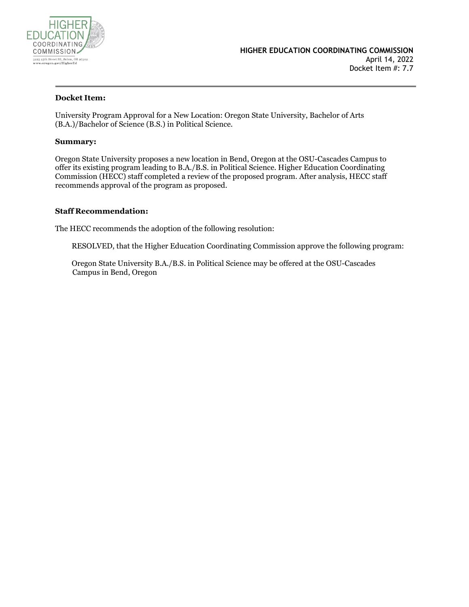

#### **Docket Item:**

University Program Approval for a New Location: Oregon State University, Bachelor of Arts (B.A.)/Bachelor of Science (B.S.) in Political Science.

#### **Summary:**

Oregon State University proposes a new location in Bend, Oregon at the OSU-Cascades Campus to offer its existing program leading to B.A./B.S. in Political Science. Higher Education Coordinating Commission (HECC) staff completed a review of the proposed program. After analysis, HECC staff recommends approval of the program as proposed.

#### **Staff Recommendation:**

The HECC recommends the adoption of the following resolution:

RESOLVED, that the Higher Education Coordinating Commission approve the following program:

 Oregon State University B.A./B.S. in Political Science may be offered at the OSU-Cascades Campus in Bend, Oregon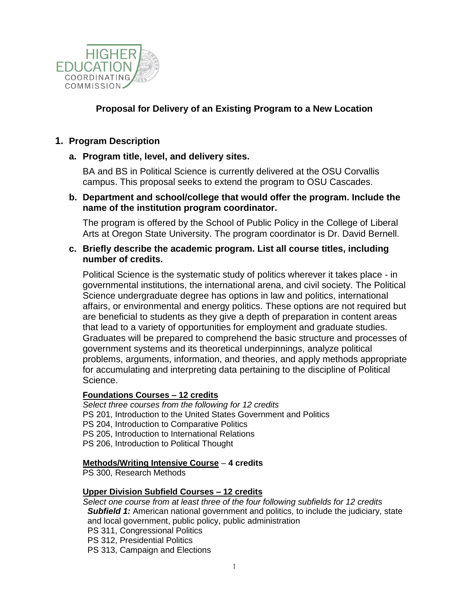

# **Proposal for Delivery of an Existing Program to a New Location**

## **1. Program Description**

## **a. Program title, level, and delivery sites.**

BA and BS in Political Science is currently delivered at the OSU Corvallis campus. This proposal seeks to extend the program to OSU Cascades.

#### **b. Department and school/college that would offer the program. Include the name of the institution program coordinator.**

The program is offered by the School of Public Policy in the College of Liberal Arts at Oregon State University. The program coordinator is Dr. David Bernell.

### **c. Briefly describe the academic program. List all course titles, including number of credits.**

Political Science is the systematic study of politics wherever it takes place - in governmental institutions, the international arena, and civil society. The Political Science undergraduate degree has options in law and politics, international affairs, or environmental and energy politics. These options are not required but are beneficial to students as they give a depth of preparation in content areas that lead to a variety of opportunities for employment and graduate studies. Graduates will be prepared to comprehend the basic structure and processes of government systems and its theoretical underpinnings, analyze political problems, arguments, information, and theories, and apply methods appropriate for accumulating and interpreting data pertaining to the discipline of Political Science.

#### **Foundations Courses – 12 credits**

*Select three courses from the following for 12 credits* PS 201, Introduction to the United States Government and Politics PS 204, Introduction to Comparative Politics PS 205, Introduction to International Relations PS 206, Introduction to Political Thought

#### **Methods/Writing Intensive Course** – **4 credits**

PS 300, Research Methods

#### **Upper Division Subfield Courses – 12 credits**

*Select one course from at least three of the four following subfields for 12 credits* **Subfield 1:** American national government and politics, to include the judiciary, state and local government, public policy, public administration PS 311, Congressional Politics PS 312, Presidential Politics

PS 313, Campaign and Elections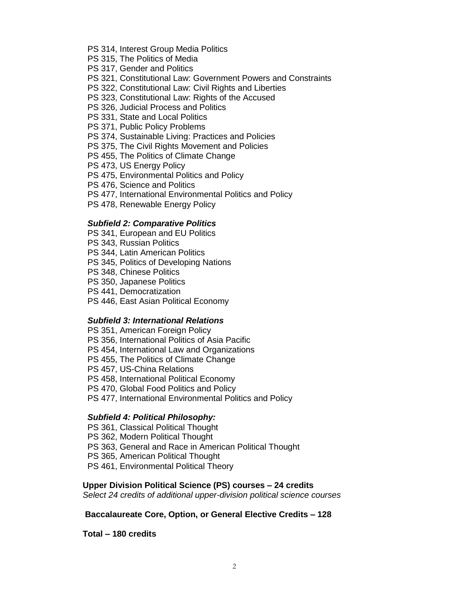- PS 314, Interest Group Media Politics
- PS 315, The Politics of Media
- PS 317, Gender and Politics
- PS 321, Constitutional Law: Government Powers and Constraints
- PS 322, Constitutional Law: Civil Rights and Liberties
- PS 323, Constitutional Law: Rights of the Accused
- PS 326, Judicial Process and Politics
- PS 331, State and Local Politics
- PS 371, Public Policy Problems
- PS 374, Sustainable Living: Practices and Policies
- PS 375, The Civil Rights Movement and Policies
- PS 455, The Politics of Climate Change
- PS 473, US Energy Policy
- PS 475, Environmental Politics and Policy
- PS 476, Science and Politics
- PS 477, International Environmental Politics and Policy
- PS 478, Renewable Energy Policy

#### *Subfield 2: Comparative Politics*

- PS 341, European and EU Politics
- PS 343, Russian Politics
- PS 344, Latin American Politics
- PS 345, Politics of Developing Nations
- PS 348, Chinese Politics
- PS 350, Japanese Politics
- PS 441, Democratization
- PS 446, East Asian Political Economy

#### *Subfield 3: International Relations*

**PS 351, American Foreign Policy**  PS 356, International Politics of Asia Pacific PS 454, International Law and Organizations PS 455, The Politics of Climate Change PS 457, US-China Relations PS 458, International Political Economy PS 470, Global Food Politics and Policy PS 477, International Environmental Politics and Policy

#### *Subfield 4: Political Philosophy:*

**PS 361, Classical Political Thought**  PS 362, Modern Political Thought PS 363, General and Race in American Political Thought PS 365, American Political Thought PS 461, Environmental Political Theory

#### **Upper Division Political Science (PS) courses – 24 credits**

*Select 24 credits of additional upper-division political science courses*

#### **Baccalaureate Core, Option, or General Elective Credits – 128**

**Total – 180 credits**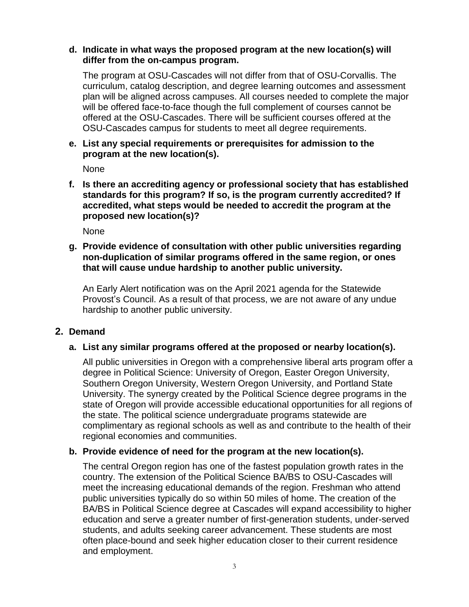## **d. Indicate in what ways the proposed program at the new location(s) will differ from the on-campus program.**

The program at OSU-Cascades will not differ from that of OSU-Corvallis. The curriculum, catalog description, and degree learning outcomes and assessment plan will be aligned across campuses. All courses needed to complete the major will be offered face-to-face though the full complement of courses cannot be offered at the OSU-Cascades. There will be sufficient courses offered at the OSU-Cascades campus for students to meet all degree requirements.

## **e. List any special requirements or prerequisites for admission to the program at the new location(s).**

None

**f. Is there an accrediting agency or professional society that has established standards for this program? If so, is the program currently accredited? If accredited, what steps would be needed to accredit the program at the proposed new location(s)?**

None

## **g. Provide evidence of consultation with other public universities regarding non-duplication of similar programs offered in the same region, or ones that will cause undue hardship to another public university.**

An Early Alert notification was on the April 2021 agenda for the Statewide Provost's Council. As a result of that process, we are not aware of any undue hardship to another public university.

# **2. Demand**

# **a. List any similar programs offered at the proposed or nearby location(s).**

All public universities in Oregon with a comprehensive liberal arts program offer a degree in Political Science: University of Oregon, Easter Oregon University, Southern Oregon University, Western Oregon University, and Portland State University. The synergy created by the Political Science degree programs in the state of Oregon will provide accessible educational opportunities for all regions of the state. The political science undergraduate programs statewide are complimentary as regional schools as well as and contribute to the health of their regional economies and communities.

# **b. Provide evidence of need for the program at the new location(s).**

The central Oregon region has one of the fastest population growth rates in the country. The extension of the Political Science BA/BS to OSU-Cascades will meet the increasing educational demands of the region. Freshman who attend public universities typically do so within 50 miles of home. The creation of the BA/BS in Political Science degree at Cascades will expand accessibility to higher education and serve a greater number of first-generation students, under-served students, and adults seeking career advancement. These students are most often place-bound and seek higher education closer to their current residence and employment.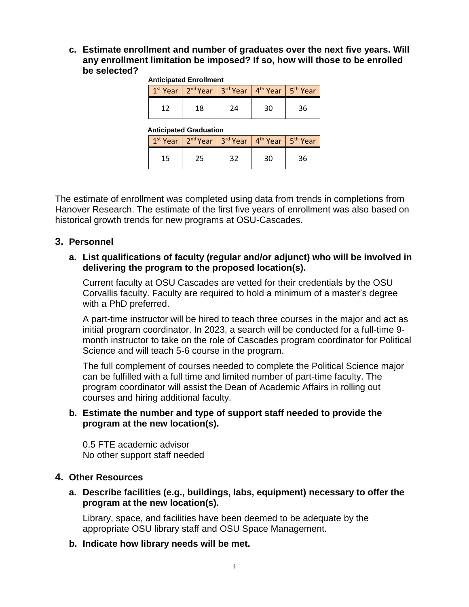**c. Estimate enrollment and number of graduates over the next five years. Will any enrollment limitation be imposed? If so, how will those to be enrolled be selected?**

| <b>Anticipated Enrollment</b> |    |                                                                                                           |     |           |  |  |
|-------------------------------|----|-----------------------------------------------------------------------------------------------------------|-----|-----------|--|--|
|                               |    | $1^{st}$ Year   2 <sup>nd</sup> Year   3 <sup>rd</sup> Year   4 <sup>th</sup> Year   5 <sup>th</sup> Year |     |           |  |  |
| 12                            | 18 | 24                                                                                                        | 30  | 36        |  |  |
| <b>Anticipated Graduation</b> |    |                                                                                                           |     |           |  |  |
|                               |    |                                                                                                           | . . | $\cdot$ . |  |  |

|       | $1st$ Year   2 <sup>nd</sup> Year   3 <sup>rd</sup> Year   4 <sup>th</sup> Year   5 <sup>th</sup> Year |    |    |  |
|-------|--------------------------------------------------------------------------------------------------------|----|----|--|
| 1 E . |                                                                                                        | າາ | 30 |  |

The estimate of enrollment was completed using data from trends in completions from Hanover Research. The estimate of the first five years of enrollment was also based on historical growth trends for new programs at OSU-Cascades.

# **3. Personnel**

## **a. List qualifications of faculty (regular and/or adjunct) who will be involved in delivering the program to the proposed location(s).**

Current faculty at OSU Cascades are vetted for their credentials by the OSU Corvallis faculty. Faculty are required to hold a minimum of a master's degree with a PhD preferred.

A part-time instructor will be hired to teach three courses in the major and act as initial program coordinator. In 2023, a search will be conducted for a full-time 9 month instructor to take on the role of Cascades program coordinator for Political Science and will teach 5-6 course in the program.

The full complement of courses needed to complete the Political Science major can be fulfilled with a full time and limited number of part-time faculty. The program coordinator will assist the Dean of Academic Affairs in rolling out courses and hiring additional faculty.

## **b. Estimate the number and type of support staff needed to provide the program at the new location(s).**

0.5 FTE academic advisor No other support staff needed

# **4. Other Resources**

**a. Describe facilities (e.g., buildings, labs, equipment) necessary to offer the program at the new location(s).**

Library, space, and facilities have been deemed to be adequate by the appropriate OSU library staff and OSU Space Management.

## **b. Indicate how library needs will be met.**